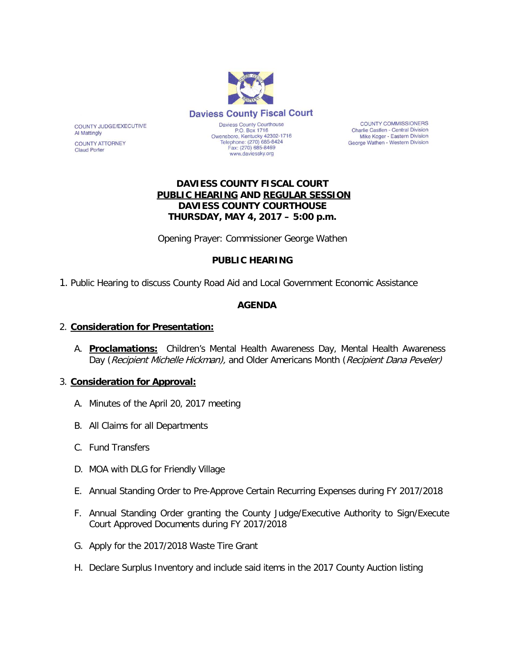

Telephone: (270) 685-8424

Fax: (270) 685-8469

www.daviessky.org

COUNTY COMMISSIONERS Charlie Castlen - Central Division Mike Koger - Eastern Division George Wathen - Western Division

## **DAVIESS COUNTY FISCAL COURT PUBLIC HEARING AND REGULAR SESSION DAVIESS COUNTY COURTHOUSE THURSDAY, MAY 4, 2017 – 5:00 p.m.**

Opening Prayer: Commissioner George Wathen

## **PUBLIC HEARING**

1. Public Hearing to discuss County Road Aid and Local Government Economic Assistance

## **AGENDA**

#### 2. **Consideration for Presentation:**

A. **Proclamations:** Children's Mental Health Awareness Day, Mental Health Awareness Day (Recipient Michelle Hickman), and Older Americans Month (Recipient Dana Peveler)

#### 3. **Consideration for Approval:**

- A. Minutes of the April 20, 2017 meeting
- B. All Claims for all Departments
- C. Fund Transfers

COUNTY JUDGE/EXECUTIVE

**COUNTY ATTORNEY** 

**Al Mattingly** 

**Claud Porter** 

- D. MOA with DLG for Friendly Village
- E. Annual Standing Order to Pre-Approve Certain Recurring Expenses during FY 2017/2018
- F. Annual Standing Order granting the County Judge/Executive Authority to Sign/Execute Court Approved Documents during FY 2017/2018
- G. Apply for the 2017/2018 Waste Tire Grant
- H. Declare Surplus Inventory and include said items in the 2017 County Auction listing